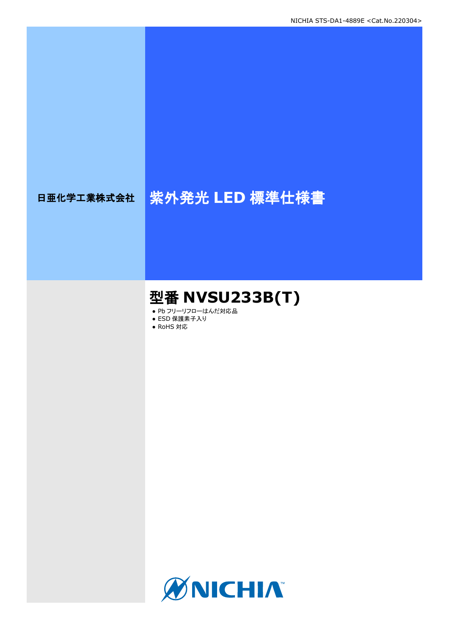# 日亜化学工業株式会社 紫外発光 LED 標準仕様書

## 型番 **NVSU233B(T)**

- Pb フリーリフローはんだ対応品
- ESD 保護素子入り
- RoHS 対応

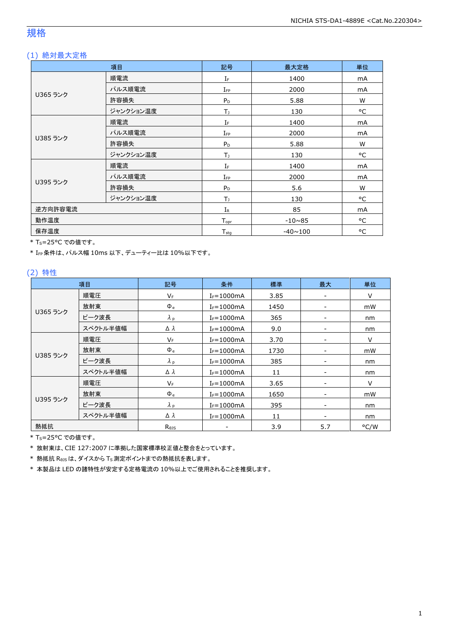### 規格

### (1) 絶対最大定格

|          | 項目        | 記号                | 最大定格           | 単位 |
|----------|-----------|-------------------|----------------|----|
|          | 順電流       | $I_F$             | 1400           | mA |
|          | パルス順電流    | $I_{FP}$          | 2000           | mA |
| U365 ランク | 許容損失      | $P_D$             | 5.88           | W  |
|          | ジャンクション温度 | T)                | 130            | °C |
|          | 順電流       | $I_F$             | 1400           | mA |
| U385 ランク | パルス順電流    | $I_{FP}$          | 2000           | mA |
|          | 許容損失      | $P_D$             | 5.88           | W  |
|          | ジャンクション温度 | T <sub>1</sub>    | 130            | °C |
|          | 順電流       | ΙF                | 1400           | mA |
|          | パルス順電流    | $I_{\mathsf{FP}}$ | 2000           | mA |
| U395 ランク | 許容損失      | $P_D$             | 5.6            | W  |
|          | ジャンクション温度 | T <sub>1</sub>    | 130            | °C |
| 逆方向許容電流  |           | $I_{R}$           | 85             | mA |
| 動作温度     |           | $T_{\text{opt}}$  | $-10\nu 85$    | °C |
| 保存温度     |           | $T_{\rm stg}$     | $-40 \sim 100$ | °C |

\* Ts=25°C での値です。

\* IFP条件は、パルス幅 10ms 以下、デューティー比は 10%以下です。

### (2) 特性

|          | 項目       | 記号                | 条件              | 標準   | 最大                       | 単位   |
|----------|----------|-------------------|-----------------|------|--------------------------|------|
|          | 順電圧      | $V_F$             | $I_F = 1000mA$  | 3.85 |                          | V    |
|          | 放射束      | $\Phi_{\rm e}$    | $I_F = 1000mA$  | 1450 | $\overline{\phantom{0}}$ | mW   |
| U365 ランク | ピーク波長    | $\lambda_{\rm p}$ | $I_F = 1000$ mA | 365  |                          | nm   |
|          | スペクトル半値幅 | Δλ                | $I_F = 1000mA$  | 9.0  |                          | nm   |
|          | 順電圧      | $V_F$             | $I_F = 1000mA$  | 3.70 | $\overline{\phantom{a}}$ | V    |
| U385 ランク | 放射束      | $\Phi_{\rm e}$    | $I_F = 1000mA$  | 1730 | $\overline{\phantom{a}}$ | mW   |
|          | ピーク波長    | $\lambda_{\rm p}$ | $I_F = 1000mA$  | 385  |                          | nm   |
|          | スペクトル半値幅 | Δλ                | $I_F = 1000mA$  | 11   |                          | nm   |
|          | 順電圧      | $V_F$             | $I_F = 1000$ mA | 3.65 |                          | V    |
|          | 放射束      | $\Phi_e$          | $I_F = 1000$ mA | 1650 | $\overline{\phantom{a}}$ | mW   |
| U395 ランク | ピーク波長    | $\lambda_{\rm p}$ | $I_F = 1000mA$  | 395  |                          | nm   |
|          | スペクトル半値幅 | Δλ                | $I_F = 1000mA$  | 11   |                          | nm   |
| 熱抵抗      |          | $R_{\theta}$      |                 | 3.9  | 5.7                      | °C/W |

\* T<sub>S</sub>=25°C での値です。

\* 放射束は、CIE 127:2007 に準拠した国家標準校正値と整合をとっています。

\* 熱抵抗 RθJSは、ダイスから TS測定ポイントまでの熱抵抗を表します。

\* 本製品は LED の諸特性が安定する定格電流の 10%以上でご使用されることを推奨します。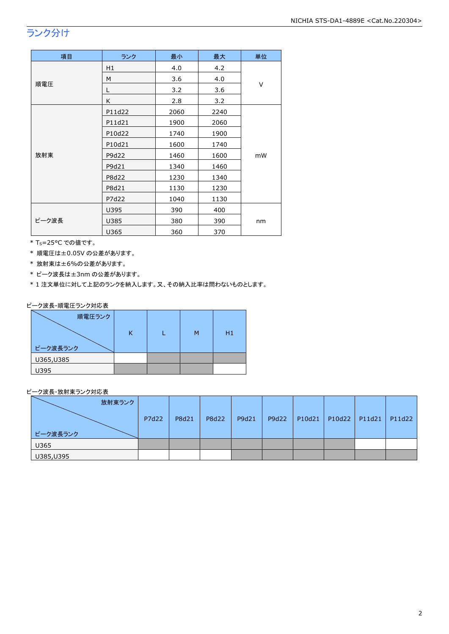### ランク分け

| 項目    | ランク    | 最小   | 最大   | 単位 |  |
|-------|--------|------|------|----|--|
|       | H1     | 4.0  | 4.2  |    |  |
|       | M      | 3.6  | 4.0  | V  |  |
| 順電圧   | L      | 3.2  | 3.6  |    |  |
|       | K      | 2.8  | 3.2  |    |  |
|       | P11d22 | 2060 | 2240 |    |  |
|       | P11d21 | 1900 | 2060 |    |  |
|       | P10d22 | 1740 | 1900 |    |  |
|       | P10d21 | 1600 | 1740 |    |  |
| 放射束   | P9d22  | 1460 | 1600 | mW |  |
|       | P9d21  | 1340 | 1460 |    |  |
|       | P8d22  | 1230 | 1340 |    |  |
|       | P8d21  | 1130 | 1230 |    |  |
|       | P7d22  | 1040 | 1130 |    |  |
|       | U395   | 390  | 400  |    |  |
| ピーク波長 | U385   | 380  | 390  | nm |  |
|       | U365   | 360  | 370  |    |  |

\* Ts=25°C での値です。

\* 順電圧は±0.05V の公差があります。

\* 放射束は±6%の公差があります。

\* ピーク波長は±3nm の公差があります。

\* 1 注文単位に対して上記のランクを納入します。又、その納入比率は問わないものとします。

ピーク波長-順電圧ランク対応表

| 順電圧ランク     |  |   |    |
|------------|--|---|----|
|            |  | м | H1 |
| ピーク波長ランク   |  |   |    |
| U365, U385 |  |   |    |
| U395       |  |   |    |

ピーク波長-放射束ランク対応表

| 放射束ランク     |       |       |       |       |       |        |               |        |
|------------|-------|-------|-------|-------|-------|--------|---------------|--------|
|            | P7d22 | P8d21 | P8d22 | P9d21 | P9d22 | P10d21 | P10d22 P11d21 | P11d22 |
| ピーク波長ランク   |       |       |       |       |       |        |               |        |
| U365       |       |       |       |       |       |        |               |        |
| U385, U395 |       |       |       |       |       |        |               |        |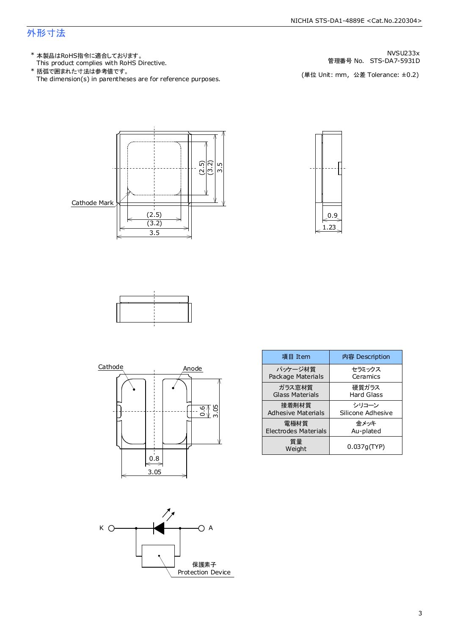### 外形寸法

- This product complies with RoHS Directive. \* 本製品はRoHS指令に適合しております。
- The dimension(s) in parentheses are for reference purposes. \* 括弧で囲まれた寸法は参考値です。

管理番号 No. STS-DA7-5931D NVSU233x

(単位 Unit: mm, 公差 Tolerance: ±0.2)









| 項目 Item                   | 内容 Description    |
|---------------------------|-------------------|
| パッケージ材質                   | セラミックス            |
| Package Materials         | Ceramics          |
| ガラス窓材質                    | 硬質ガラス             |
| Glass Materials           | Hard Glass        |
| 接着剤材質                     | シリコーン             |
| <b>Adhesive Materials</b> | Silicone Adhesive |
| 電極材質                      | 金メッキ              |
| Electrodes Materials      | Au-plated         |
| 質量<br>Weight              | 0.037q(TYP)       |

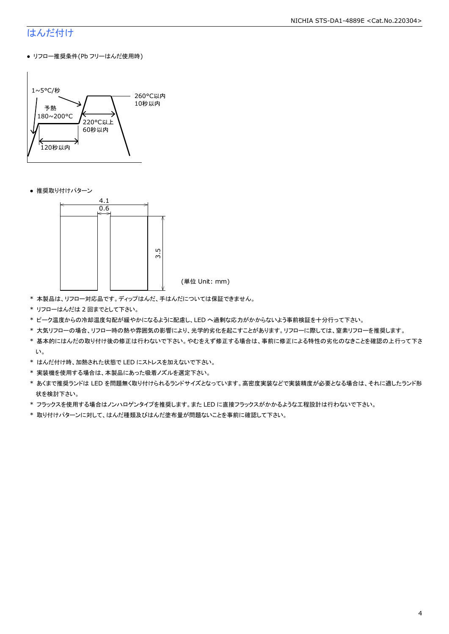#### NICHIA STS-DA1-4889E <Cat.No.220304>

### はんだ付け

● リフロー推奨条件(Pb フリーはんだ使用時)



● 推奨取り付けパターン



(単位 Unit: mm)

- \* 本製品は、リフロー対応品です。ディップはんだ、手はんだについては保証できません。
- \* リフローはんだは 2 回までとして下さい。
- \* ピーク温度からの冷却温度勾配が緩やかになるように配慮し、LED へ過剰な応力がかからないよう事前検証を十分行って下さい。
- \* 大気リフローの場合、リフロー時の熱や雰囲気の影響により、光学的劣化を起こすことがあります。リフローに際しては、窒素リフローを推奨します。
- \* 基本的にはんだの取り付け後の修正は行わないで下さい。やむをえず修正する場合は、事前に修正による特性の劣化のなきことを確認の上行って下さ い。
- \* はんだ付け時、加熱された状態で LED にストレスを加えないで下さい。
- \* 実装機を使用する場合は、本製品にあった吸着ノズルを選定下さい。
- \* あくまで推奨ランドは LED を問題無く取り付けられるランドサイズとなっています。高密度実装などで実装精度が必要となる場合は、それに適したランド形 状を検討下さい。
- \* フラックスを使用する場合はノンハロゲンタイプを推奨します。また LED に直接フラックスがかかるような工程設計は行わないで下さい。
- \* 取り付けパターンに対して、はんだ種類及びはんだ塗布量が問題ないことを事前に確認して下さい。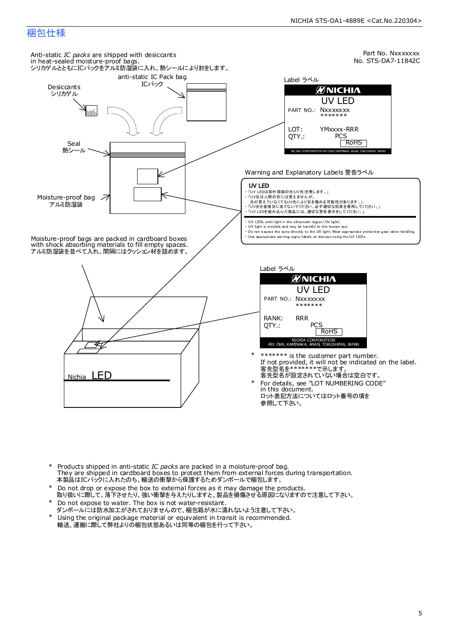### 梱包仕様



- Products shipped in anti-static *IC packs* are packed in a moisture-proof bag.<br>They are shipped in cardboard boxes to protect them from external forces during transportation. 本製品はICパックに入れたのち、輸送の衝撃から保護するためダンボールで梱包します。 \*
- Do not drop or expose the box to external forces as it may damage the products. 取り扱いに際して、落下させたり、強い衝撃を与えたりしますと、製品を損傷させる原因になりますので注意して下さい。 \*
- Do not expose to water. The box is not water-resistant. \*
- ダンボールには防水加工がされておりませんので、梱包箱が水に濡れないよう注意して下さい。
- Using the original package material or equivalent in transit is recommended. 輸送、運搬に際して弊社よりの梱包状態あるいは同等の梱包を行って下さい。 \*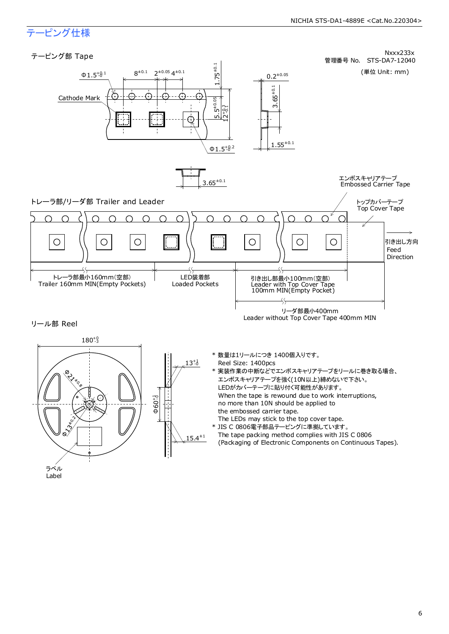### テーピング仕様

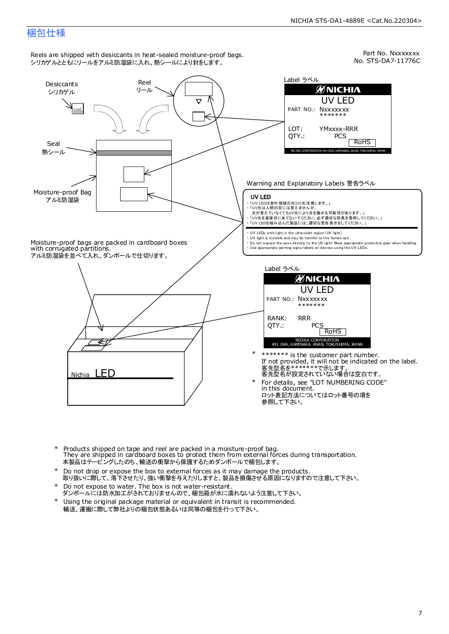#### NICHIA STS-DA1-4889E <Cat.No.220304>

### 梱包仕様



- Products shipped on tape and reel are packed in a moisture-proof bag. They are shipped in cardboard boxes to protect them from external forces during transportation. - ^^0 y aro onlyped in databourd boxes to protect them mont skemia.rent<br>本製品はテーピングしたのち、輸送の衝撃から保護するためダンボールで梱包します。 \*
- Do not drop or expose the box to external forces as it may damage the products. 取り扱いに際して、落下させたり、強い衝撃を与えたりしますと、製品を損傷させる原因になりますので注意して下さい。 \*
- Do not expose to water. The box is not water-resistant. \*
- ダンボールには防水加工がされておりませんので、梱包箱が水に濡れないよう注意して下さい。
- \* Using the original package material or equivalent in transit is recommended. 輸送、運搬に際して弊社よりの梱包状態あるいは同等の梱包を行って下さい。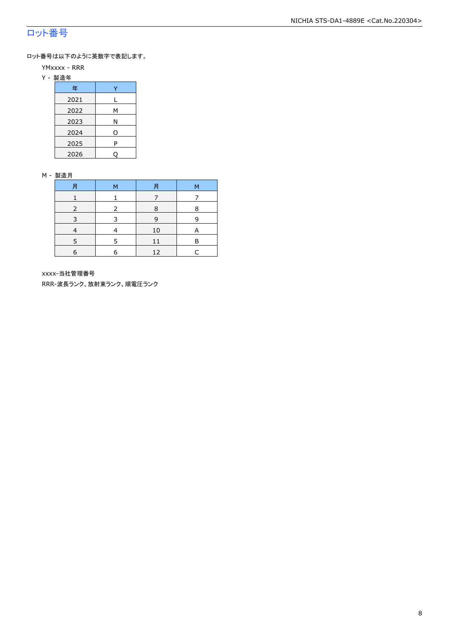### ロット番号

ロット番号は以下のように英数字で表記します。

- YMxxxx RRR
- Y 製造年

| 年    |   |
|------|---|
| 2021 |   |
| 2022 | М |
| 2023 | Ν |
| 2024 | O |
| 2025 | P |
| 2026 |   |

#### M - 製造月

| 月 | м | 月  | М |
|---|---|----|---|
|   |   |    |   |
|   |   | 8  | 8 |
| 3 | २ | 9  | q |
|   |   | 10 |   |
|   | 5 | 11 | P |
| 6 | 6 | 12 |   |

xxxx-当社管理番号

RRR-波長ランク、放射束ランク、順電圧ランク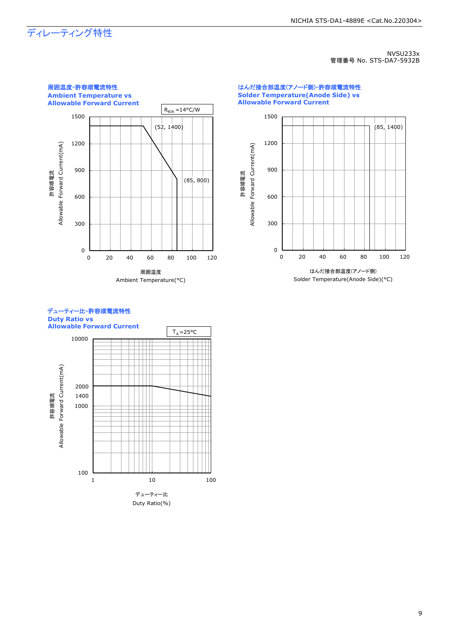## ディレーティング特性

NVSU233x 管理番号 No. STS-DA7-5932B





#### デューティー比-許容順電流特性 **Duty Ratio vs Allowable Forward Current**

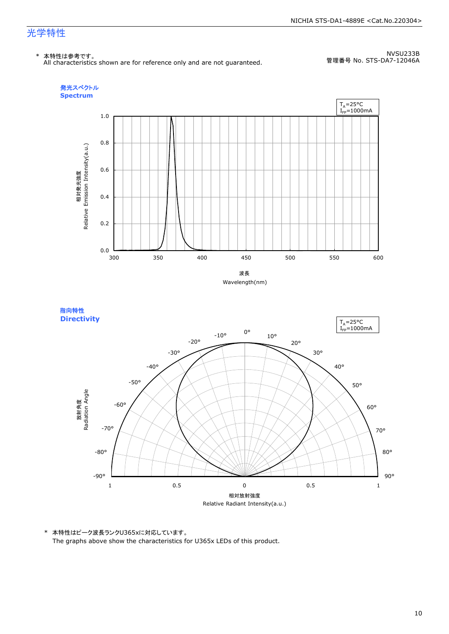### 光学特性

#### \* 本特性は参考です。

All characteristics shown are for reference only and are not guaranteed.

NVSU233B 管理番号 No. STS-DA7-12046A







\* 本特性はピーク波長ランクU365xに対応しています。 The graphs above show the characteristics for U365x LEDs of this product.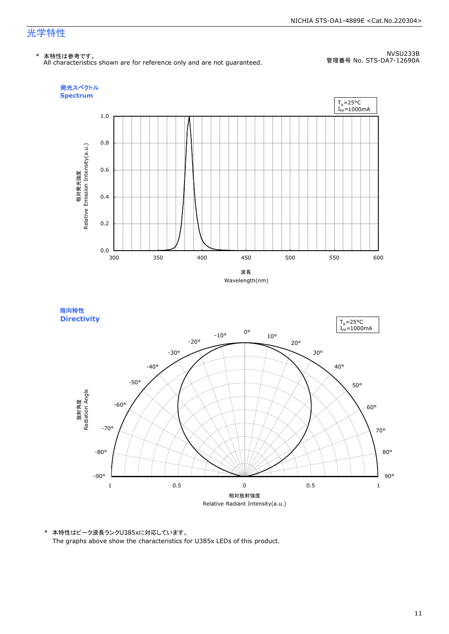### 光学特性

#### \* 本特性は参考です。

All characteristics shown are for reference only and are not guaranteed.

NVSU233B 管理番号 No. STS-DA7-12690A





\* 本特性はピーク波長ランクU385xに対応しています。 The graphs above show the characteristics for U385x LEDs of this product.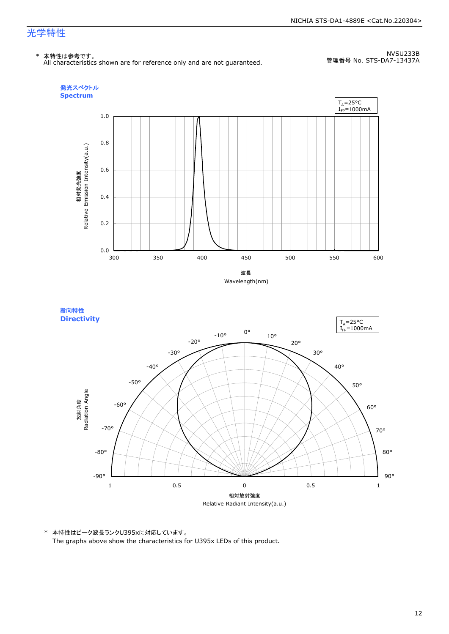### 光学特性

#### \* 本特性は参考です。

All characteristics shown are for reference only and are not guaranteed.

NVSU233B 管理番号 No. STS-DA7-13437A





\* 本特性はピーク波長ランクU395xに対応しています。 The graphs above show the characteristics for U395x LEDs of this product.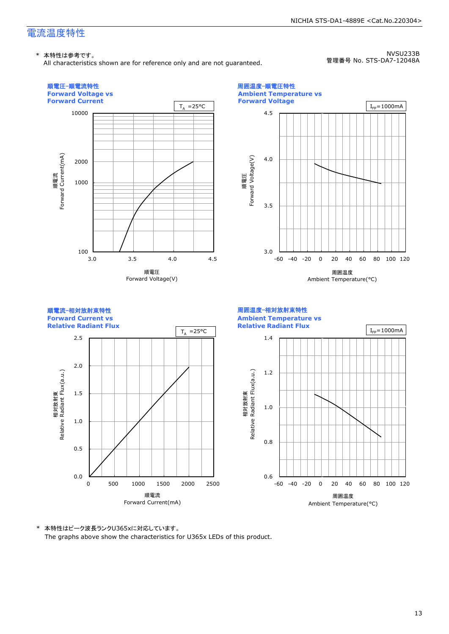All characteristics shown are for reference only and are not guaranteed.

NVSU233B 管理番号 No. STS-DA7-12048A

NICHIA STS-DA1-4889E <Cat.No.220304>



\* 本特性はピーク波長ランクU365xに対応しています。 The graphs above show the characteristics for U365x LEDs of this product.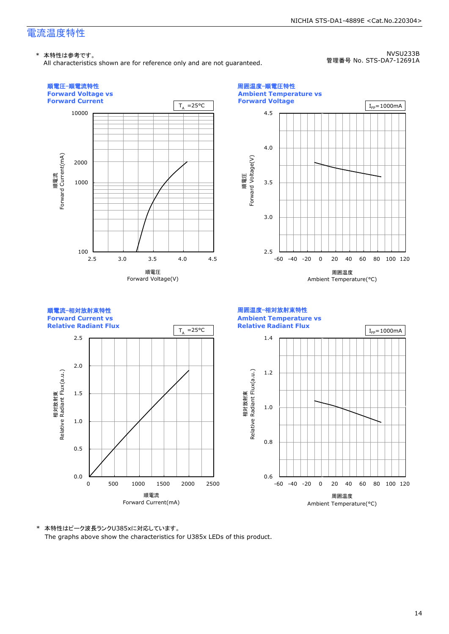All characteristics shown are for reference only and are not guaranteed.

NVSU233B 管理番号 No. STS-DA7-12691A

NICHIA STS-DA1-4889E <Cat.No.220304>



\* 本特性はピーク波長ランクU385xに対応しています。 The graphs above show the characteristics for U385x LEDs of this product.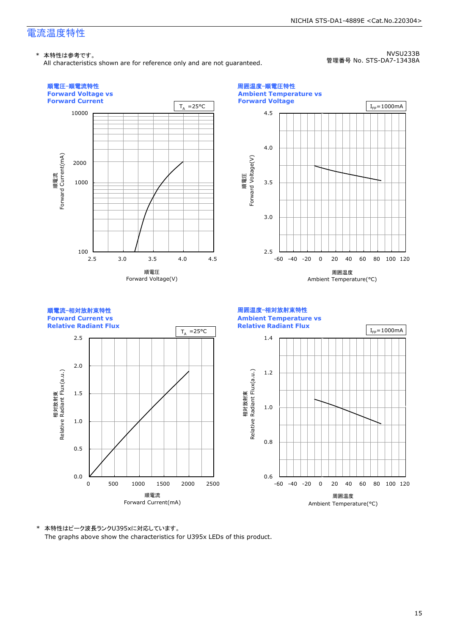All characteristics shown are for reference only and are not guaranteed.

NVSU233B 管理番号 No. STS-DA7-13438A

NICHIA STS-DA1-4889E <Cat.No.220304>



\* 本特性はピーク波長ランクU395xに対応しています。 The graphs above show the characteristics for U395x LEDs of this product.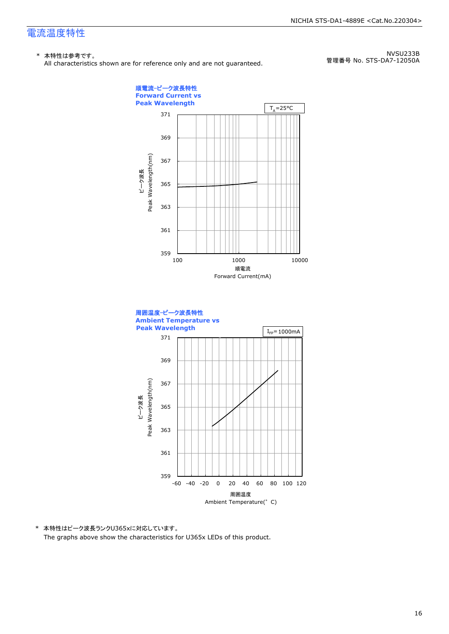#### \* 本特性は参考です。

All characteristics shown are for reference only and are not guaranteed.

NVSU233B 管理番号 No. STS-DA7-12050A



\* 本特性はピーク波長ランクU365xに対応しています。 The graphs above show the characteristics for U365x LEDs of this product.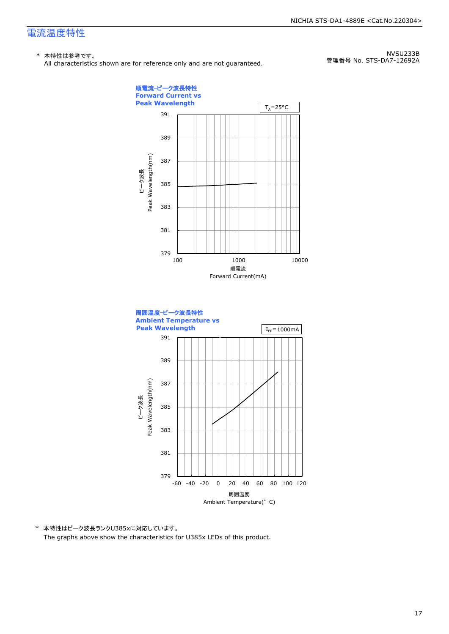#### \* 本特性は参考です。

All characteristics shown are for reference only and are not guaranteed.

NVSU233B 管理番号 No. STS-DA7-12692A



\* 本特性はピーク波長ランクU385xに対応しています。 The graphs above show the characteristics for U385x LEDs of this product.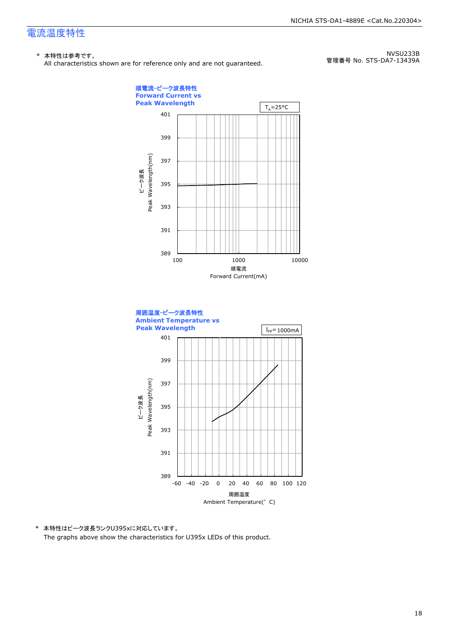#### \* 本特性は参考です。

All characteristics shown are for reference only and are not guaranteed.

NVSU233B 管理番号 No. STS-DA7-13439A



\* 本特性はピーク波長ランクU395xに対応しています。 The graphs above show the characteristics for U395x LEDs of this product.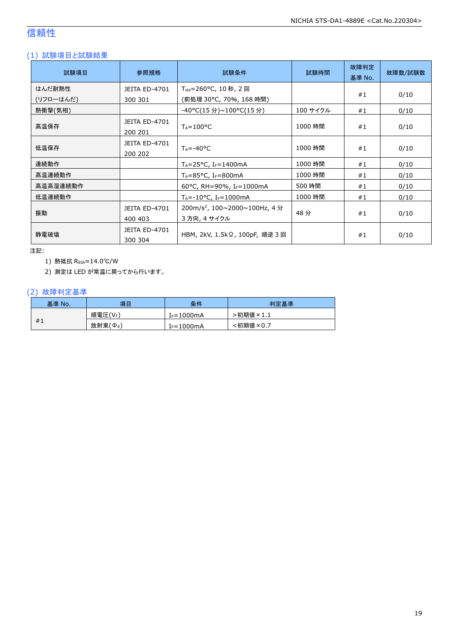### 信頼性

### (1) 試験項目と試験結果

| 試験項目      | 参照規格                            | 試験条件                                                  | 試験時間     | 故障判定<br>基準 No. | 故障数/試験数 |
|-----------|---------------------------------|-------------------------------------------------------|----------|----------------|---------|
| はんだ耐熱性    | <b>JEITA ED-4701</b>            | T <sub>sld</sub> =260°C, 10 秒, 2 回                    |          | #1             | 0/10    |
| (リフローはんだ) | 300 301                         | (前処理 30℃, 70%, 168 時間)                                |          |                |         |
| 熱衝撃(気相)   |                                 | -40°C(15 分)~100°C(15 分)                               | 100 サイクル | #1             | 0/10    |
| 高温保存      | <b>JEITA ED-4701</b><br>200 201 | $T_A = 100^{\circ}C$                                  | 1000 時間  | #1             | 0/10    |
| 低温保存      | JEITA ED-4701<br>200 202        | $T_A = -40$ <sup>o</sup> C                            | 1000 時間  | #1             | 0/10    |
| 連続動作      |                                 | $T_A = 25^{\circ}C$ , I <sub>F</sub> =1400mA          | 1000 時間  | #1             | 0/10    |
| 高温連続動作    |                                 | $T_A = 85^{\circ}$ C, I <sub>F</sub> =800mA           | 1000 時間  | #1             | 0/10    |
| 高温高湿連続動作  |                                 | 60°C, RH=90%, IF=1000mA                               | 500 時間   | #1             | 0/10    |
| 低温連続動作    |                                 | $T_A = -10$ °C, $I_F = 1000$ mA                       | 1000 時間  | #1             | 0/10    |
|           | <b>JEITA ED-4701</b>            | $200 \text{m/s}^2$ , $100 \sim 2000 \sim 100$ Hz, 4 分 |          |                |         |
| 振動        | 400 403                         | 3 方向, 4 サイクル                                          | 48分      | #1             | 0/10    |
| 静電破壊      | JEITA ED-4701<br>300 304        | HBM, 2kV, 1.5kΩ, 100pF, 順逆 3 回                        |          | #1             | 0/10    |

注記:

1) 熱抵抗 RθJA≈14.0℃/W

2) 測定は LED が常温に戻ってから行います。

#### (2) 故障判定基準

| 基準 No. | 項目                   | 条件              | 判定基準     |
|--------|----------------------|-----------------|----------|
|        | 順電圧(VF)              | $I_F = 1000$ mA | ·初期値×1.1 |
| #1     | 放射束(Φ <sub>Ε</sub> ) | $I_F = 1000$ mA | <初期値×0.7 |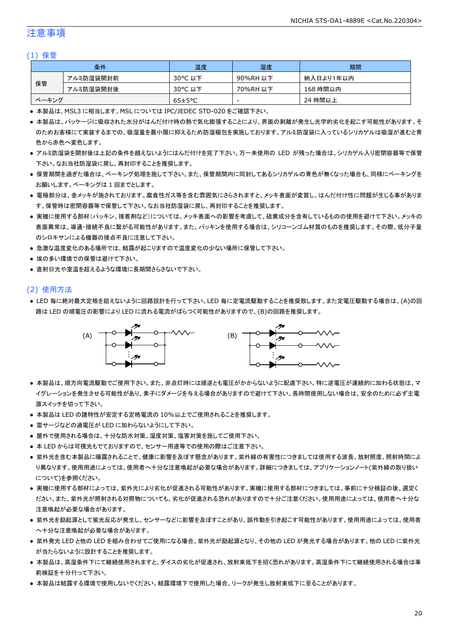### 注意事項

#### (1) 保管

|       | 条件        | 温度                   | 湿度       | 期間        |
|-------|-----------|----------------------|----------|-----------|
|       | アルミ防湿袋開封前 | 30°C 以下              | 90%RH 以下 | 納入日より1年以内 |
| 保管    | アルミ防湿袋開封後 | 30°C 以下              | 70%RH 以下 | 168 時間以内  |
| ベーキング |           | $65 \pm 5^{\circ}$ C | -        | 24 時間以上   |

● 本製品は、MSL3 に相当します。MSL については IPC/JEDEC STD-020 をご確認下さい。

- 本製品は、パッケージに吸収された水分がはんだ付け時の熱で気化膨張することにより、界面の剥離が発生し光学的劣化を起こす可能性があります。そ のためお客様にて実装するまでの、吸湿量を最小限に抑えるため防湿梱包を実施しております。アルミ防湿袋に入っているシリカゲルは吸湿が進むと青 色から赤色へ変色します。
- アルミ防湿袋を開封後は上記の条件を越えないようにはんだ付けを完了下さい。万一未使用の LED が残った場合は、シリカゲル入り密閉容器等で保管 下さい。なお当社防湿袋に戻し、再封印することを推奨します。
- 保管期間を過ぎた場合は、ベーキング処理を施して下さい。また、保管期間内に同封してあるシリカゲルの青色が無くなった場合も、同様にベーキングを お願いします。ベーキングは 1 回までとします。
- 電極部分は、金メッキが施されております。腐食性ガス等を含む雰囲気にさらされますと、メッキ表面が変質し、はんだ付け性に問題が生じる事がありま す。保管時は密閉容器等で保管して下さい。なお当社防湿袋に戻し、再封印することを推奨します。
- 実機に使用する部材(パッキン、接着剤など)については、メッキ表面への影響を考慮して、硫黄成分を含有しているものの使用を避けて下さい。メッキの 表面異常は、導通・接続不良に繋がる可能性があります。また、パッキンを使用する場合は、シリコーンゴム材質のものを推奨します。その際、低分子量 のシロキサンによる機器の接点不良に注意して下さい。
- 急激な温度変化のある場所では、結露が起こりますので温度変化の少ない場所に保管して下さい。
- 埃の多い環境での保管は避けて下さい。
- 直射日光や室温を超えるような環境に長期間さらさないで下さい。

#### (2) 使用方法

● LED 毎に絶対最大定格を超えないように回路設計を行って下さい。LED 毎に定電流駆動することを推奨致します。また定電圧駆動する場合は、(A)の回 路は LED の順電圧の影響により LED に流れる電流がばらつく可能性がありますので、(B)の回路を推奨します。



- 本製品は、順方向電流駆動でご使用下さい。また、非点灯時には順逆とも電圧がかからないように配慮下さい。特に逆電圧が連続的に加わる状態は、マ イグレーションを発生させる可能性があり、素子にダメージを与える場合がありますので避けて下さい。長時間使用しない場合は、安全のために必ず主電 源スイッチを切って下さい。
- 本製品は LED の諸特性が安定する定格電流の 10%以上でご使用されることを推奨します。
- 雷サージなどの過電圧が LED に加わらないようにして下さい。
- 屋外で使用される場合は、十分な防水対策、湿度対策、塩害対策を施してご使用下さい。
- 本 LED からは可視光もでておりますので、センサー用途等での使用の際はご注意下さい。
- 紫外光を含む本製品に曝露されることで、健康に影響を及ぼす懸念があります。紫外線の有害性につきましては使用する波長、放射照度、照射時間によ り異なります。使用用途によっては、使用者へ十分な注意喚起が必要な場合があります。詳細につきましては、アプリケーションノート(紫外線の取り扱い について)を参照ください。
- 実機に使用する部材によっては、紫外光により劣化が促進される可能性があります。実機に使用する部材につきましては、事前に十分検証の後、選定く ださい。また、紫外光が照射される対照物についても、劣化が促進される恐れがありますので十分ご注意ください。使用用途によっては、使用者へ十分な 注意喚起が必要な場合があります。
- 紫外光を励起源として蛍光反応が発生し、センサーなどに影響を及ぼすことがあり、誤作動を引き起こす可能性があります。使用用途によっては、使用者 へ十分な注意喚起が必要な場合があります。
- 紫外発光 LED と他の LED を組み合わせてご使用になる場合、紫外光が励起源となり、その他の LED が発光する場合があります。他の LED に紫外光 が当たらないように設計することを推奨します。
- 本製品は、高湿条件下にて継続使用されますと、ダイスの劣化が促進され、放射束低下を招く恐れがあります。高湿条件下にて継続使用される場合は事 前検証を十分行って下さい。
- 本製品は結露する環境で使用しないでください。結露環境下で使用した場合、リークが発生し放射束低下に至ることがあります。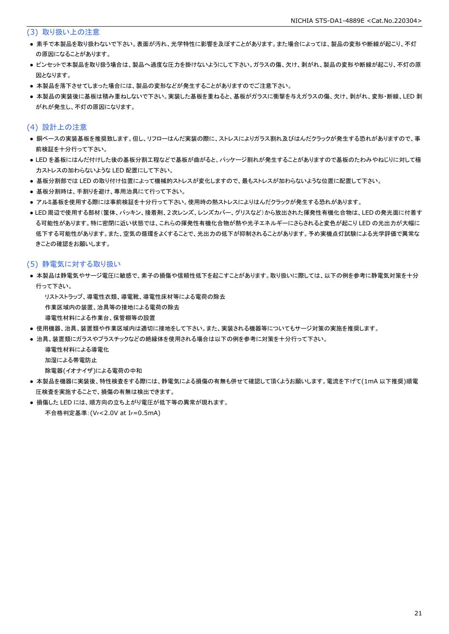(3) 取り扱い上の注意

- 素手で本製品を取り扱わないで下さい。表面が汚れ、光学特性に影響を及ぼすことがあります。また場合によっては、製品の変形や断線が起こり、不灯 の原因になることがあります。
- ピンセットで本製品を取り扱う場合は、製品へ過度な圧力を掛けないようにして下さい。ガラスの傷、欠け、剥がれ、製品の変形や断線が起こり、不灯の原 因となります。
- 本製品を落下させてしまった場合には、製品の変形などが発生することがありますのでご注意下さい。
- 本製品の実装後に基板は積み重ねしないで下さい。実装した基板を重ねると、基板がガラスに衝撃を与えガラスの傷、欠け、剥がれ、変形・断線、LED 剥 がれが発生し、不灯の原因になります。

### (4) 設計上の注意

- 銅ベースの実装基板を推奨致します。但し、リフローはんだ実装の際に、ストレスによりガラス割れ及びはんだクラックが発生する恐れがありますので、事 前検証を十分行って下さい。
- LED を基板にはんだ付けした後の基板分割工程などで基板が曲がると、パッケージ割れが発生することがありますので基板のたわみやねじりに対して極 力ストレスの加わらないような LED 配置にして下さい。
- 基板分割部では LED の取り付け位置によって機械的ストレスが変化しますので、最もストレスが加わらないような位置に配置して下さい。
- 基板分割時は、手割りを避け、専用治具にて行って下さい。
- アルミ基板を使用する際には事前検証を十分行って下さい。使用時の熱ストレスによりはんだクラックが発生する恐れがあります。
- LED 周辺で使用する部材(筐体、パッキン、接着剤、2次レンズ、レンズカバー、グリスなど)から放出された揮発性有機化合物は、LED の発光面に付着す る可能性があります。特に密閉に近い状態では、これらの揮発性有機化合物が熱や光子エネルギーにさらされると変色が起こり LED の光出力が大幅に 低下する可能性があります。また、空気の循環をよくすることで、光出力の低下が抑制されることがあります。予め実機点灯試験による光学評価で異常な きことの確認をお願いします。

#### (5) 静電気に対する取り扱い

- 本製品は静電気やサージ電圧に敏感で、素子の損傷や信頼性低下を起こすことがあります。取り扱いに際しては、以下の例を参考に静電気対策を十分 行って下さい。
	- リストストラップ、導電性衣類、導電靴、導電性床材等による電荷の除去

作業区域内の装置、治具等の接地による電荷の除去

- 導電性材料による作業台、保管棚等の設置
- 使用機器、治具、装置類や作業区域内は適切に接地をして下さい。また、実装される機器等についてもサージ対策の実施を推奨します。
- 治具、装置類にガラスやプラスチックなどの絶縁体を使用される場合は以下の例を参考に対策を十分行って下さい。

導電性材料による導電化

加湿による帯電防止

除電器(イオナイザ)による電荷の中和

- 本製品を機器に実装後、特性検査をする際には、静電気による損傷の有無も併せて確認して頂くようお願いします。電流を下げて(1mA 以下推奨)順電 圧検査を実施することで、損傷の有無は検出できます。
- 損傷した LED には、順方向の立ち上がり電圧が低下等の異常が現れます。 不合格判定基準:(VF<2.0V at IF=0.5mA)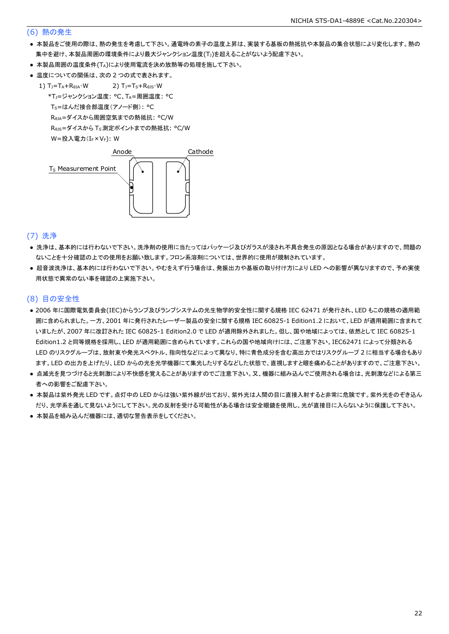#### (6) 熱の発生

- 本製品をご使用の際は、熱の発生を考慮して下さい。通電時の素子の温度上昇は、実装する基板の熱抵抗や本製品の集合状態により変化します。熱の 集中を避け、本製品周囲の環境条件により最大ジャンクション温度(Tj)を超えることがないよう配慮下さい。
- 本製品周囲の温度条件(TA)により使用電流を決め放熱等の処理を施して下さい。
- 温度についての関係は、次の2つの式で表されます。

1)  $T_J = T_A + R_{\theta JA} \cdot W$  2)  $T_J = T_S + R_{\theta JS} \cdot W$  \*TJ=ジャンクション温度: °C、TA=周囲温度: °C T<sub>S</sub>=はんだ接合部温度(アノード側): °C RθJA=ダイスから周囲空気までの熱抵抗: °C/W ReJs=ダイスから Ts 測定ポイントまでの熱抵抗: °C/W  $W = \frac{1}{2} \lambda \frac{1}{2} \sum_{r=1}^{n} (I_{F} \times V_{F})$ : W



#### (7) 洗浄

- 洗浄は、基本的には行わないで下さい。洗浄剤の使用に当たってはパッケージ及びガラスが浸され不具合発生の原因となる場合がありますので、問題の ないことを十分確認の上での使用をお願い致します。フロン系溶剤については、世界的に使用が規制されています。
- 超音波洗浄は、基本的には行わないで下さい。やむをえず行う場合は、発振出力や基板の取り付け方により LED への影響が異なりますので、予め実使 用状態で異常のない事を確認の上実施下さい。

#### (8) 目の安全性

- 2006 年に国際電気委員会(IEC)からランプ及びランプシステムの光生物学的安全性に関する規格 IEC 62471 が発行され、LED もこの規格の適用範 囲に含められました。一方、2001 年に発行されたレーザー製品の安全に関する規格 IEC 60825-1 Edition1.2 において、LED が適用範囲に含まれて いましたが、2007 年に改訂された IEC 60825-1 Edition2.0 で LED が適用除外されました。但し、国や地域によっては、依然として IEC 60825-1 Edition1.2 と同等規格を採用し、LED が適用範囲に含められています。これらの国や地域向けには、ご注意下さい。IEC62471 によって分類される LED のリスクグループは、放射束や発光スペクトル、指向性などによって異なり、特に青色成分を含む高出力ではリスクグループ 2 に相当する場合もあり ます。LED の出力を上げたり、LED からの光を光学機器にて集光したりするなどした状態で、直視しますと眼を痛めることがありますので、ご注意下さい。
- 点滅光を見つづけると光刺激により不快感を覚えることがありますのでご注意下さい。又、機器に組み込んでご使用される場合は、光刺激などによる第三 者への影響をご配慮下さい。
- 本製品は紫外発光 LED です。点灯中の LED からは強い紫外線が出ており、紫外光は人間の目に直接入射すると非常に危険です。紫外光をのぞき込ん だり、光学系を通して見ないようにして下さい。光の反射を受ける可能性がある場合は安全眼鏡を使用し、光が直接目に入らないように保護して下さい。
- 本製品を組み込んだ機器には、適切な警告表示をしてください。